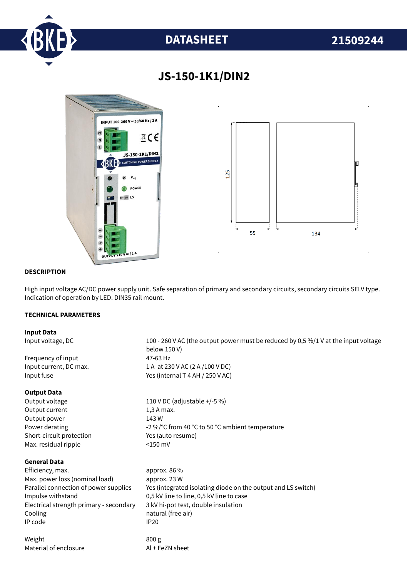

# **DATASHEET 21509244**



## **JS-150-1K1/DIN2**

#### **DESCRIPTION**

High input voltage AC/DC power supply unit. Safe separation of primary and secondary circuits, secondary circuits SELV type. Indication of operation by LED. DIN35 rail mount.

#### **TECHNICAL PARAMETERS**

#### **Input Data**

Input voltage, DC 100 - 260 V AC (the output power must be reduced by 0,5 %/1 V at the input voltage below 150 V) Frequency of input 47-63 Hz Input current, DC max. 1 A at 230 V AC (2 A /100 V DC) Input fuse Yes (internal T 4 AH / 250 V AC) **Output Data** Output voltage 110 V DC (adjustable +/-5 %) Output current 1,3 A max. Output power 143 W Power derating  $-2\%$  °C from 40 °C to 50 °C ambient temperature Short-circuit protection Yes (auto resume) Max. residual ripple <150 mV **General Data** Efficiency. max. approx. 86 % Max. power loss (nominal load) approx. 23 W Parallel connection of power supplies Yes (integrated isolating diode on the output and LS switch) Impulse withstand 0,5 kV line to line, 0,5 kV line to case Electrical strength primary - secondary 3 kV hi-pot test, double insulation Cooling **natural** (free air) IP code IP20 Weight 800 g Material of enclosure Al + FeZN sheet